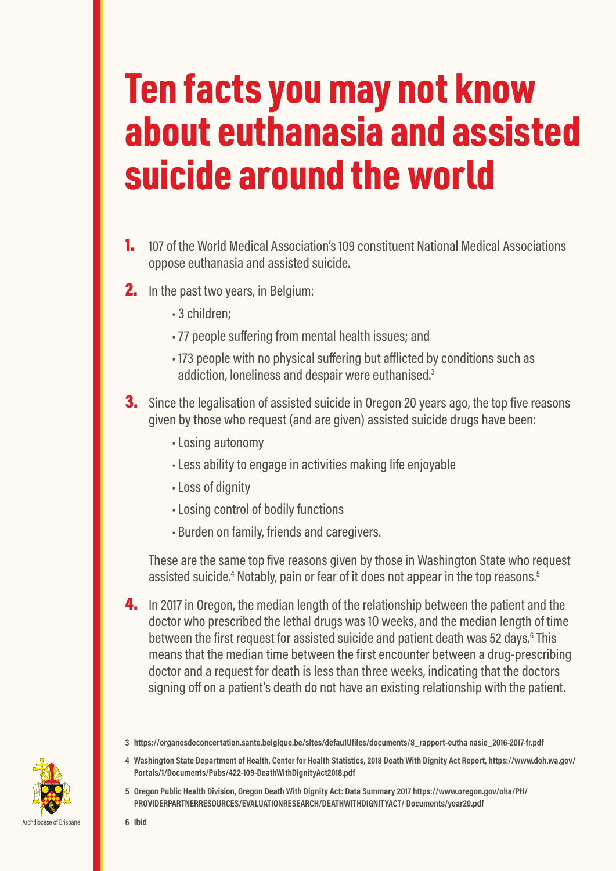## Ten facts you may not know about euthanasia and assisted suicide around the world

- 1. 107 of the World Medical Association's 109 constituent National Medical Associations oppose euthanasia and assisted suicide.
- **2.** In the past two years, in Belgium:
	- 3 children;
	- 77 people suffering from mental health issues; and
	- 173 people with no physical suffering but afflicted by conditions such as addiction, loneliness and despair were euthanised.<sup>3</sup>
- **3.** Since the legalisation of assisted suicide in Oregon 20 years ago, the top five reasons given by those who request (and are given) assisted suicide drugs have been:
	- •Losing autonomy
	- •Less ability to engage in activities making life enjoyable
	- •Loss of dignity
	- •Losing control of bodily functions
	- Burden on family, friends and caregivers.

These are the same top five reasons given by those in Washington State who request assisted suicide.<sup>4</sup> Notably, pain or fear of it does not appear in the top reasons.<sup>5</sup>

4. In 2017 in Oregon, the median length of the relationship between the patient and the doctor who prescribed the lethal drugs was 1O weeks, and the median length of time between the first request for assisted suicide and patient death was 52 days.<sup>6</sup> This means that the median time between the first encounter between a drug-prescribing doctor and a request for death is less than three weeks, indicating that the doctors signing off on a patient's death do not have an existing relationship with the patient.



- **4 Washington State Department of Health, Center for Health Statistics, 2018 Death With Dignity Act Report, https://www.doh.wa.gov/ Portals/1/Documents/Pubs/422-109-DeathWithDignityAct2018.pdf**
- **5 Oregon Public Health Division, Oregon Death With Dignity Act: Data Summary 2017 https://www.oregon.gov/oha/PH/ PROVIDERPARTNERRESOURCES/EVALUATIONRESEARCH/DEATHWITHDIGNITYACT/ Documents/year20.pdf**